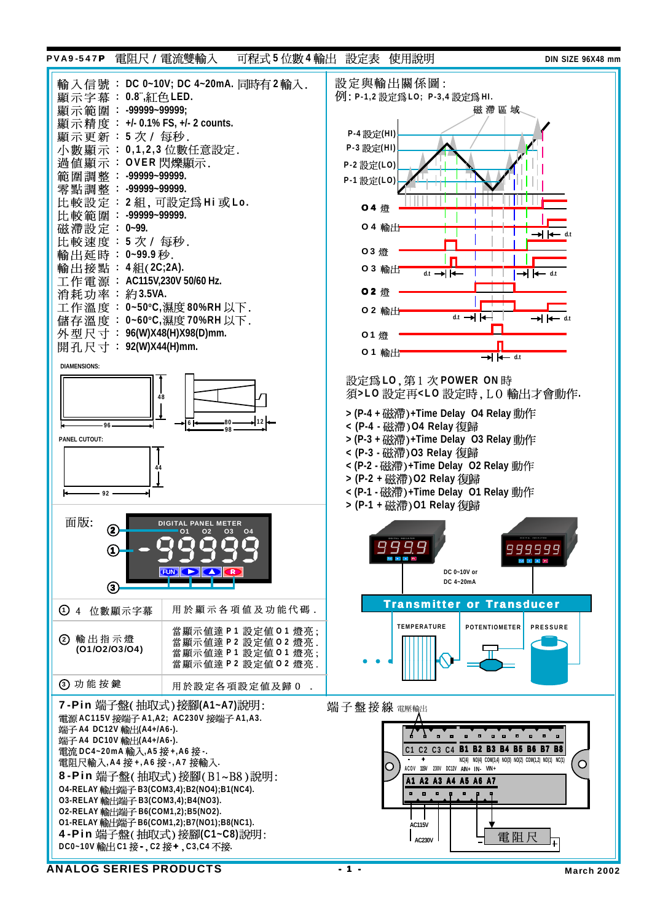## PVA9-547P **5 4 DIN SIZE 96X48 mm**



ANALOG SERIES PRODUCTS 41 - 1 - March 2002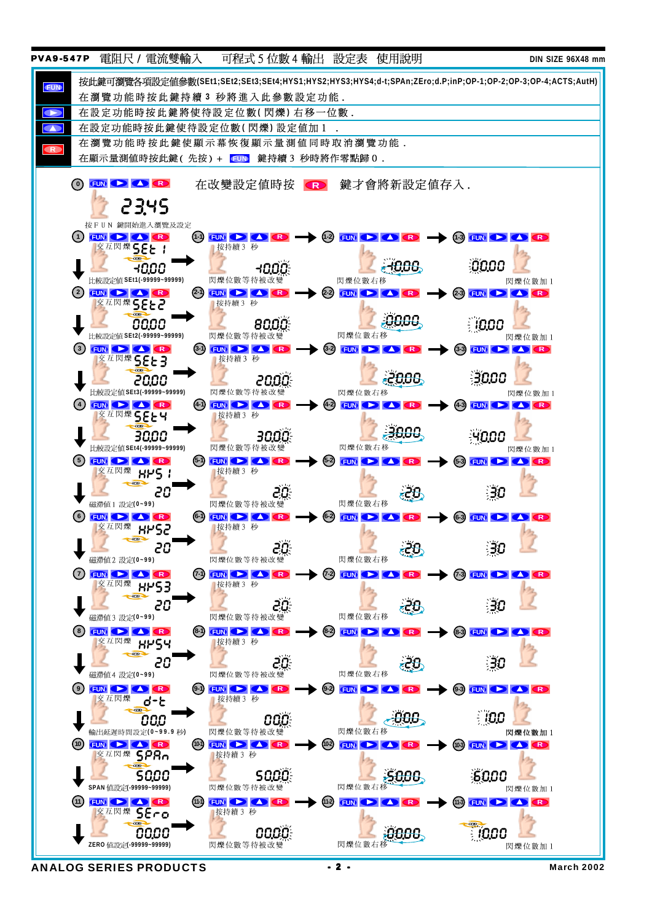

ANALOG SERIES PRODUCTS  $\begin{array}{ccc} & -2 & - & \text{March 2002} \end{array}$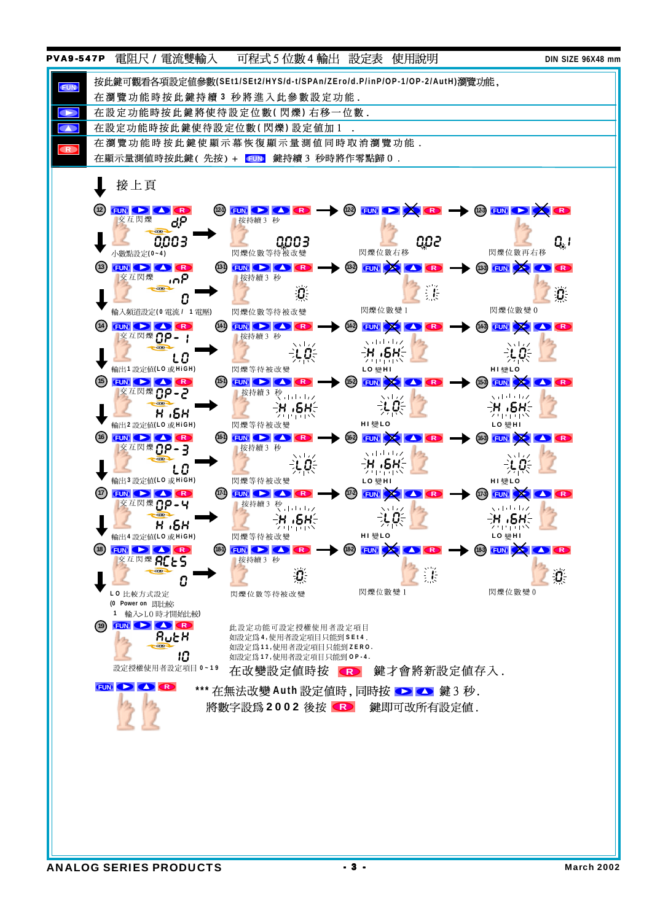